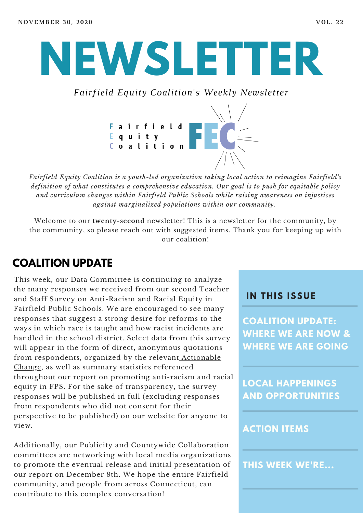# **NEWSLETTER**

*Fairfield Equity Coalition's Weekly Newsletter*



*Fairfield Equity Coalition is a youth-led organization taking local action to reimagine Fairfield's definition of what constitutes a comprehensive education. Our goal is to push for equitable policy and curriculum changes within Fairfield Public Schools while raising awareness on injustices against marginalized populations within our community.*

Welcome to our **twenty-second** newsletter! This is a newsletter for the community, by the community, so please reach out with suggested items. Thank you for keeping up with our coalition!

### **COALITION UPDATE**

This week, our Data Committee is continuing to analyze the many responses we received from our second Teacher and Staff Survey on Anti-Racism and Racial Equity in Fairfield Public Schools. We are encouraged to see many responses that suggest a strong desire for reforms to the ways in which race is taught and how racist incidents are handled in the school district. Select data from this survey will appear in the form of direct, anonymous quotations from [respondents,](https://www.fairfieldequitycoalition.org/actionablechanges) organized by the relevant Actionable Change, as well as summary statistics referenced throughout our report on promoting anti-racism and racial equity in FPS. For the sake of transparency, the survey responses will be published in full (excluding responses from respondents who did not consent for their perspective to be published) on our website for anyone to view.

Additionally, our Publicity and Countywide Collaboration committees are networking with local media organizations to promote the eventual release and initial presentation of our report on December 8th. We hope the entire Fairfield community, and people from across Connecticut, can contribute to this complex conversation!

#### **I N THIS ISSUE**

**COALITION UPDATE: WHERE WE ARE NOW & WHERE WE ARE GOING**

**LOCAL HAPPENINGS AND OPPORTUNITIES**

#### **ACTION ITEMS**

**THIS WEEK WE'RE...**